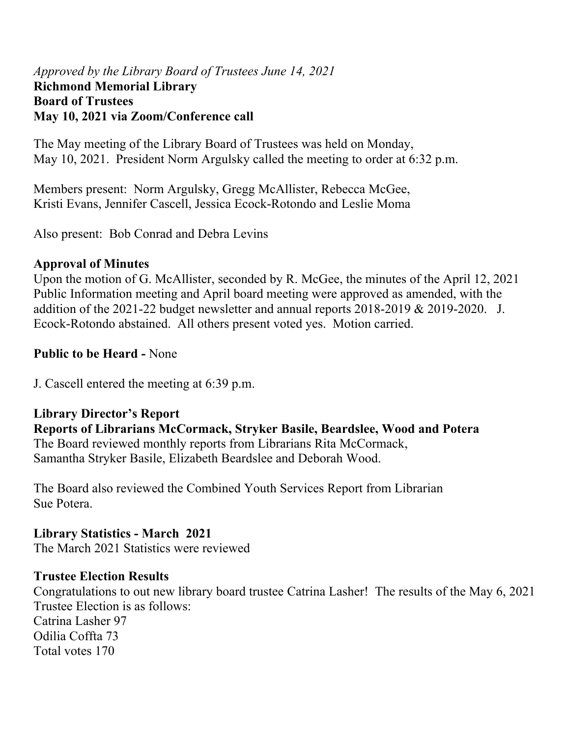#### *Approved by the Library Board of Trustees June 14, 2021* **Richmond Memorial Library Board of Trustees May 10, 2021 via Zoom/Conference call**

The May meeting of the Library Board of Trustees was held on Monday, May 10, 2021. President Norm Argulsky called the meeting to order at 6:32 p.m.

Members present: Norm Argulsky, Gregg McAllister, Rebecca McGee, Kristi Evans, Jennifer Cascell, Jessica Ecock-Rotondo and Leslie Moma

Also present: Bob Conrad and Debra Levins

## **Approval of Minutes**

Upon the motion of G. McAllister, seconded by R. McGee, the minutes of the April 12, 2021 Public Information meeting and April board meeting were approved as amended, with the addition of the 2021-22 budget newsletter and annual reports 2018-2019 & 2019-2020. J. Ecock-Rotondo abstained. All others present voted yes. Motion carried.

## **Public to be Heard -** None

J. Cascell entered the meeting at 6:39 p.m.

**Library Director's Report Reports of Librarians McCormack, Stryker Basile, Beardslee, Wood and Potera**  The Board reviewed monthly reports from Librarians Rita McCormack, Samantha Stryker Basile, Elizabeth Beardslee and Deborah Wood.

The Board also reviewed the Combined Youth Services Report from Librarian Sue Potera.

**Library Statistics - March 2021**  The March 2021 Statistics were reviewed

## **Trustee Election Results**

Congratulations to out new library board trustee Catrina Lasher! The results of the May 6, 2021 Trustee Election is as follows: Catrina Lasher 97 Odilia Coffta 73 Total votes 170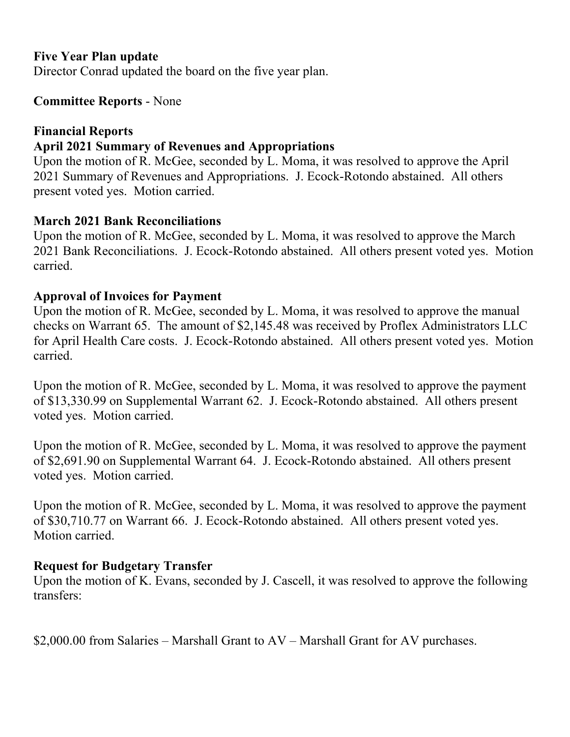#### **Five Year Plan update**

Director Conrad updated the board on the five year plan.

#### **Committee Reports** - None

#### **Financial Reports**

## **April 2021 Summary of Revenues and Appropriations**

Upon the motion of R. McGee, seconded by L. Moma, it was resolved to approve the April 2021 Summary of Revenues and Appropriations. J. Ecock-Rotondo abstained. All others present voted yes. Motion carried.

## **March 2021 Bank Reconciliations**

Upon the motion of R. McGee, seconded by L. Moma, it was resolved to approve the March 2021 Bank Reconciliations. J. Ecock-Rotondo abstained. All others present voted yes. Motion carried.

## **Approval of Invoices for Payment**

Upon the motion of R. McGee, seconded by L. Moma, it was resolved to approve the manual checks on Warrant 65. The amount of \$2,145.48 was received by Proflex Administrators LLC for April Health Care costs. J. Ecock-Rotondo abstained. All others present voted yes. Motion carried.

Upon the motion of R. McGee, seconded by L. Moma, it was resolved to approve the payment of \$13,330.99 on Supplemental Warrant 62. J. Ecock-Rotondo abstained. All others present voted yes. Motion carried.

Upon the motion of R. McGee, seconded by L. Moma, it was resolved to approve the payment of \$2,691.90 on Supplemental Warrant 64. J. Ecock-Rotondo abstained. All others present voted yes. Motion carried.

Upon the motion of R. McGee, seconded by L. Moma, it was resolved to approve the payment of \$30,710.77 on Warrant 66. J. Ecock-Rotondo abstained. All others present voted yes. Motion carried.

## **Request for Budgetary Transfer**

Upon the motion of K. Evans, seconded by J. Cascell, it was resolved to approve the following transfers:

\$2,000.00 from Salaries – Marshall Grant to AV – Marshall Grant for AV purchases.